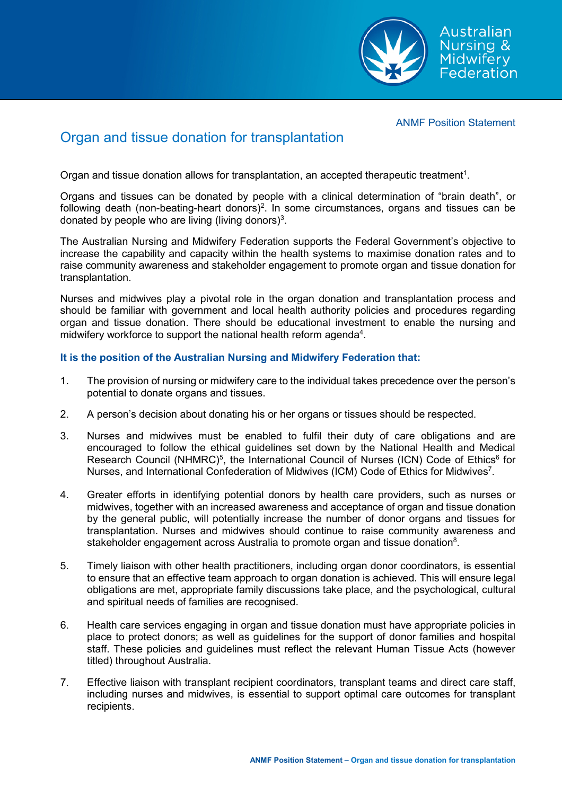

### ANMF Position Statement

# Organ and tissue donation for transplantation

Organ and tissue donation allows for transplantation, an accepted therapeutic treatment $^{\rm 1}.$ 

Organs and tissues can be donated by people with a clinical determination of "brain death", or following death (non-beating-heart donors) $^2$ . In some circumstances, organs and tissues can be donated by people who are living (living donors) $^3$ .

The Australian Nursing and Midwifery Federation supports the Federal Government's objective to increase the capability and capacity within the health systems to maximise donation rates and to raise community awareness and stakeholder engagement to promote organ and tissue donation for transplantation.

Nurses and midwives play a pivotal role in the organ donation and transplantation process and should be familiar with government and local health authority policies and procedures regarding organ and tissue donation. There should be educational investment to enable the nursing and midwifery workforce to support the national health reform agenda $^{\rm 4}.$ 

## **It is the position of the Australian Nursing and Midwifery Federation that:**

- 1. The provision of nursing or midwifery care to the individual takes precedence over the person's potential to donate organs and tissues.
- 2. A person's decision about donating his or her organs or tissues should be respected.
- 3. Nurses and midwives must be enabled to fulfil their duty of care obligations and are encouraged to follow the ethical guidelines set down by the National Health and Medical Research Council (NHMRC)<sup>5</sup>, the International Council of Nurses (ICN) Code of Ethics<sup>6</sup> for Nurses, and International Confederation of Midwives (ICM) Code of Ethics for Midwives<sup>7</sup>.
- 4. Greater efforts in identifying potential donors by health care providers, such as nurses or midwives, together with an increased awareness and acceptance of organ and tissue donation by the general public, will potentially increase the number of donor organs and tissues for transplantation. Nurses and midwives should continue to raise community awareness and stakeholder engagement across Australia to promote organ and tissue donation $^{\rm 8}$ .
- 5. Timely liaison with other health practitioners, including organ donor coordinators, is essential to ensure that an effective team approach to organ donation is achieved. This will ensure legal obligations are met, appropriate family discussions take place, and the psychological, cultural and spiritual needs of families are recognised.
- 6. Health care services engaging in organ and tissue donation must have appropriate policies in place to protect donors; as well as guidelines for the support of donor families and hospital staff. These policies and guidelines must reflect the relevant Human Tissue Acts (however titled) throughout Australia.
- 7. Effective liaison with transplant recipient coordinators, transplant teams and direct care staff, including nurses and midwives, is essential to support optimal care outcomes for transplant recipients.